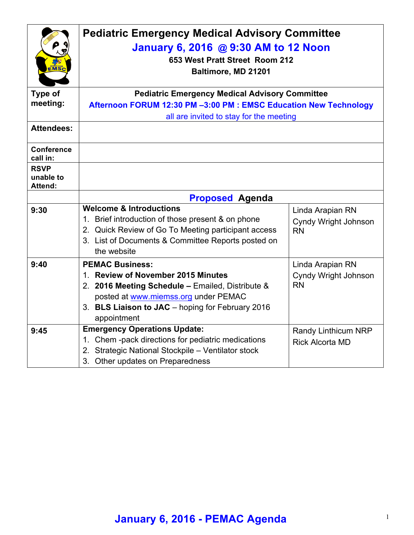| <b>MS</b>                           | <b>Pediatric Emergency Medical Advisory Committee</b><br>January 6, 2016 @ 9:30 AM to 12 Noon<br>653 West Pratt Street Room 212<br>Baltimore, MD 21201 |                             |  |
|-------------------------------------|--------------------------------------------------------------------------------------------------------------------------------------------------------|-----------------------------|--|
| Type of                             | <b>Pediatric Emergency Medical Advisory Committee</b>                                                                                                  |                             |  |
| meeting:                            | Afternoon FORUM 12:30 PM -3:00 PM : EMSC Education New Technology                                                                                      |                             |  |
|                                     | all are invited to stay for the meeting                                                                                                                |                             |  |
| <b>Attendees:</b>                   |                                                                                                                                                        |                             |  |
| <b>Conference</b><br>call in:       |                                                                                                                                                        |                             |  |
| <b>RSVP</b><br>unable to<br>Attend: |                                                                                                                                                        |                             |  |
|                                     | <b>Proposed Agenda</b>                                                                                                                                 |                             |  |
| 9:30                                | <b>Welcome &amp; Introductions</b>                                                                                                                     | Linda Arapian RN            |  |
|                                     | 1. Brief introduction of those present & on phone                                                                                                      | Cyndy Wright Johnson        |  |
|                                     | 2. Quick Review of Go To Meeting participant access                                                                                                    | <b>RN</b>                   |  |
|                                     | 3. List of Documents & Committee Reports posted on                                                                                                     |                             |  |
|                                     | the website                                                                                                                                            |                             |  |
| 9:40                                | <b>PEMAC Business:</b>                                                                                                                                 | Linda Arapian RN            |  |
|                                     | 1. Review of November 2015 Minutes                                                                                                                     | <b>Cyndy Wright Johnson</b> |  |
|                                     | 2. 2016 Meeting Schedule - Emailed, Distribute &                                                                                                       | <b>RN</b>                   |  |
|                                     | posted at www.miemss.org under PEMAC                                                                                                                   |                             |  |
|                                     | 3. BLS Liaison to JAC - hoping for February 2016                                                                                                       |                             |  |
|                                     | appointment                                                                                                                                            |                             |  |
| 9:45                                | <b>Emergency Operations Update:</b>                                                                                                                    | Randy Linthicum NRP         |  |
|                                     | 1. Chem -pack directions for pediatric medications                                                                                                     | <b>Rick Alcorta MD</b>      |  |
|                                     | 2. Strategic National Stockpile - Ventilator stock                                                                                                     |                             |  |
|                                     | 3. Other updates on Preparedness                                                                                                                       |                             |  |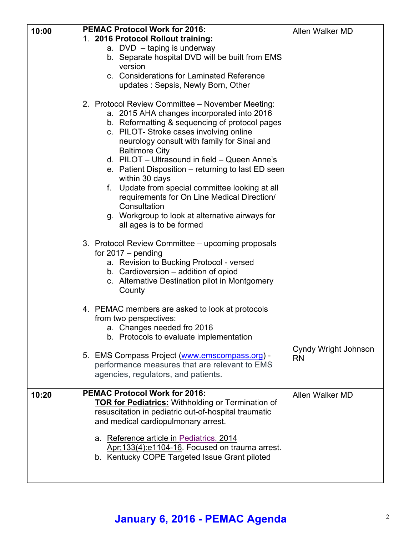| 10:00 | <b>PEMAC Protocol Work for 2016:</b>                                                                                                                                                                                                                                                                                                                                                                                                                                                                             | Allen Walker MD                   |
|-------|------------------------------------------------------------------------------------------------------------------------------------------------------------------------------------------------------------------------------------------------------------------------------------------------------------------------------------------------------------------------------------------------------------------------------------------------------------------------------------------------------------------|-----------------------------------|
|       | 1. 2016 Protocol Rollout training:                                                                                                                                                                                                                                                                                                                                                                                                                                                                               |                                   |
|       | a. DVD - taping is underway                                                                                                                                                                                                                                                                                                                                                                                                                                                                                      |                                   |
|       | b. Separate hospital DVD will be built from EMS                                                                                                                                                                                                                                                                                                                                                                                                                                                                  |                                   |
|       | version                                                                                                                                                                                                                                                                                                                                                                                                                                                                                                          |                                   |
|       | c. Considerations for Laminated Reference                                                                                                                                                                                                                                                                                                                                                                                                                                                                        |                                   |
|       | updates: Sepsis, Newly Born, Other                                                                                                                                                                                                                                                                                                                                                                                                                                                                               |                                   |
|       | 2. Protocol Review Committee - November Meeting:<br>a. 2015 AHA changes incorporated into 2016<br>b. Reformatting & sequencing of protocol pages<br>c. PILOT-Stroke cases involving online<br>neurology consult with family for Sinai and<br><b>Baltimore City</b><br>d. PILOT - Ultrasound in field - Queen Anne's<br>e. Patient Disposition – returning to last ED seen<br>within 30 days<br>Update from special committee looking at all<br>f.<br>requirements for On Line Medical Direction/<br>Consultation |                                   |
|       | g. Workgroup to look at alternative airways for<br>all ages is to be formed                                                                                                                                                                                                                                                                                                                                                                                                                                      |                                   |
|       | 3. Protocol Review Committee - upcoming proposals<br>for $2017 -$ pending<br>a. Revision to Bucking Protocol - versed<br>b. Cardioversion - addition of opiod<br>c. Alternative Destination pilot in Montgomery<br>County                                                                                                                                                                                                                                                                                        |                                   |
|       | 4. PEMAC members are asked to look at protocols<br>from two perspectives:<br>a. Changes needed fro 2016<br>b. Protocols to evaluate implementation                                                                                                                                                                                                                                                                                                                                                               |                                   |
|       | 5. EMS Compass Project (www.emscompass.org) -<br>performance measures that are relevant to EMS<br>agencies, regulators, and patients.                                                                                                                                                                                                                                                                                                                                                                            | Cyndy Wright Johnson<br><b>RN</b> |
| 10:20 | <b>PEMAC Protocol Work for 2016:</b>                                                                                                                                                                                                                                                                                                                                                                                                                                                                             | Allen Walker MD                   |
|       | <b>TOR for Pediatrics: Withholding or Termination of</b>                                                                                                                                                                                                                                                                                                                                                                                                                                                         |                                   |
|       | resuscitation in pediatric out-of-hospital traumatic                                                                                                                                                                                                                                                                                                                                                                                                                                                             |                                   |
|       | and medical cardiopulmonary arrest.                                                                                                                                                                                                                                                                                                                                                                                                                                                                              |                                   |
|       | a. Reference article in Pediatrics. 2014                                                                                                                                                                                                                                                                                                                                                                                                                                                                         |                                   |
|       | Apr;133(4):e1104-16. Focused on trauma arrest.                                                                                                                                                                                                                                                                                                                                                                                                                                                                   |                                   |
|       | b. Kentucky COPE Targeted Issue Grant piloted                                                                                                                                                                                                                                                                                                                                                                                                                                                                    |                                   |
|       |                                                                                                                                                                                                                                                                                                                                                                                                                                                                                                                  |                                   |

## **January 6, 2016 - PEMAC Agenda** <sup>2</sup>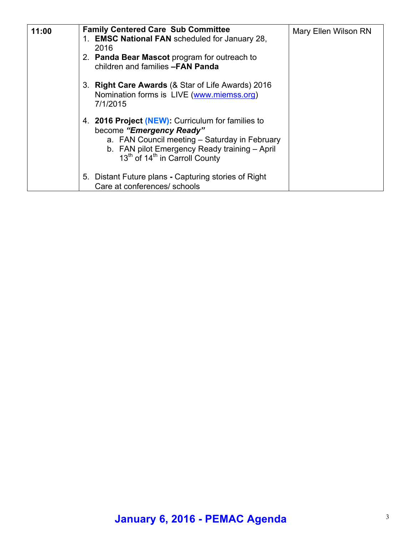| 11:00 | <b>Family Centered Care Sub Committee</b>                                                                                                                                                                                                 | Mary Ellen Wilson RN |
|-------|-------------------------------------------------------------------------------------------------------------------------------------------------------------------------------------------------------------------------------------------|----------------------|
|       | 1. EMSC National FAN scheduled for January 28,                                                                                                                                                                                            |                      |
|       | 2016<br>2. Panda Bear Mascot program for outreach to<br>children and families -FAN Panda                                                                                                                                                  |                      |
|       | 3. Right Care Awards (& Star of Life Awards) 2016<br>Nomination forms is LIVE (www.miemss.org)<br>7/1/2015                                                                                                                                |                      |
|       | 4. 2016 Project (NEW): Curriculum for families to<br>become "Emergency Ready"<br>a. FAN Council meeting – Saturday in February<br>b. FAN pilot Emergency Ready training - April<br>13 <sup>th</sup> of 14 <sup>th</sup> in Carroll County |                      |
|       | 5. Distant Future plans - Capturing stories of Right<br>Care at conferences/ schools                                                                                                                                                      |                      |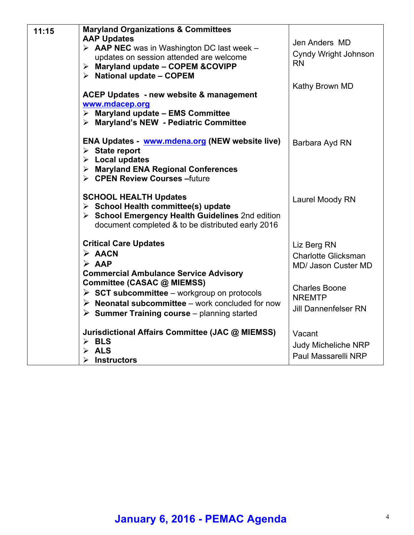| 11:15 | <b>Maryland Organizations &amp; Committees</b><br><b>AAP Updates</b><br>$\triangleright$ <b>AAP NEC</b> was in Washington DC last week -<br>updates on session attended are welcome<br>$\triangleright$ Maryland update - COPEM & COVIPP<br>$\triangleright$ National update - COPEM                                                                       | Jen Anders MD<br>Cyndy Wright Johnson<br><b>RN</b>                                                                                              |
|-------|------------------------------------------------------------------------------------------------------------------------------------------------------------------------------------------------------------------------------------------------------------------------------------------------------------------------------------------------------------|-------------------------------------------------------------------------------------------------------------------------------------------------|
|       | ACEP Updates - new website & management<br>www.mdacep.org<br>$\triangleright$ Maryland update - EMS Committee<br>> Maryland's NEW - Pediatric Committee                                                                                                                                                                                                    | Kathy Brown MD                                                                                                                                  |
|       | <b>ENA Updates - www.mdena.org (NEW website live)</b><br>$\triangleright$ State report<br>$\triangleright$ Local updates<br>> Maryland ENA Regional Conferences<br>> CPEN Review Courses - future                                                                                                                                                          | Barbara Ayd RN                                                                                                                                  |
|       | <b>SCHOOL HEALTH Updates</b><br>$\triangleright$ School Health committee(s) update<br>> School Emergency Health Guidelines 2nd edition<br>document completed & to be distributed early 2016                                                                                                                                                                | Laurel Moody RN                                                                                                                                 |
|       | <b>Critical Care Updates</b><br>$\triangleright$ AACN<br>$\triangleright$ AAP<br><b>Commercial Ambulance Service Advisory</b><br>Committee (CASAC @ MIEMSS)<br>$\triangleright$ SCT subcommittee – workgroup on protocols<br>$\triangleright$ Neonatal subcommittee – work concluded for now<br>$\triangleright$ Summer Training course – planning started | Liz Berg RN<br><b>Charlotte Glicksman</b><br><b>MD/ Jason Custer MD</b><br><b>Charles Boone</b><br><b>NREMTP</b><br><b>Jill Dannenfelser RN</b> |
|       | Jurisdictional Affairs Committee (JAC @ MIEMSS)<br>$\triangleright$ BLS<br>$\triangleright$ ALS<br><b>Instructors</b><br>≻                                                                                                                                                                                                                                 | Vacant<br><b>Judy Micheliche NRP</b><br>Paul Massarelli NRP                                                                                     |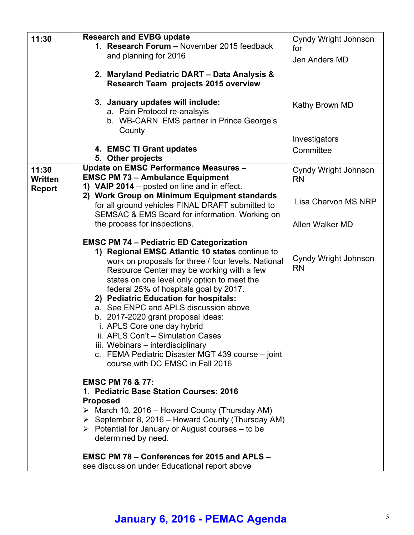| 11:30         | <b>Research and EVBG update</b>                                  | Cyndy Wright Johnson              |
|---------------|------------------------------------------------------------------|-----------------------------------|
|               | 1. Research Forum - November 2015 feedback                       | for                               |
|               | and planning for 2016                                            | Jen Anders MD                     |
|               |                                                                  |                                   |
|               | 2. Maryland Pediatric DART - Data Analysis &                     |                                   |
|               | <b>Research Team projects 2015 overview</b>                      |                                   |
|               |                                                                  |                                   |
|               | 3. January updates will include:                                 | Kathy Brown MD                    |
|               | a. Pain Protocol re-analsyis                                     |                                   |
|               | b. WB-CARN EMS partner in Prince George's                        |                                   |
|               | County                                                           |                                   |
|               |                                                                  | Investigators                     |
|               | 4. EMSC TI Grant updates                                         | Committee                         |
|               | 5. Other projects                                                |                                   |
| 11:30         | Update on EMSC Performance Measures -                            | Cyndy Wright Johnson              |
| Written       | <b>EMSC PM 73 - Ambulance Equipment</b>                          | <b>RN</b>                         |
| <b>Report</b> | 1) VAIP 2014 – posted on line and in effect.                     |                                   |
|               | 2) Work Group on Minimum Equipment standards                     |                                   |
|               | for all ground vehicles FINAL DRAFT submitted to                 | Lisa Chervon MS NRP               |
|               | SEMSAC & EMS Board for information. Working on                   |                                   |
|               | the process for inspections.                                     | Allen Walker MD                   |
|               |                                                                  |                                   |
|               | <b>EMSC PM 74 - Pediatric ED Categorization</b>                  |                                   |
|               | 1) Regional EMSC Atlantic 10 states continue to                  |                                   |
|               | work on proposals for three / four levels. National              | Cyndy Wright Johnson<br><b>RN</b> |
|               | Resource Center may be working with a few                        |                                   |
|               | states on one level only option to meet the                      |                                   |
|               | federal 25% of hospitals goal by 2017.                           |                                   |
|               | 2) Pediatric Education for hospitals:                            |                                   |
|               | a. See ENPC and APLS discussion above                            |                                   |
|               | b. 2017-2020 grant proposal ideas:                               |                                   |
|               | i. APLS Core one day hybrid                                      |                                   |
|               | ii. APLS Con't - Simulation Cases                                |                                   |
|               | iii. Webinars - interdisciplinary                                |                                   |
|               | c. FEMA Pediatric Disaster MGT 439 course - joint                |                                   |
|               | course with DC EMSC in Fall 2016                                 |                                   |
|               | <b>EMSC PM 76 &amp; 77:</b>                                      |                                   |
|               | 1. Pediatric Base Station Courses: 2016                          |                                   |
|               | <b>Proposed</b>                                                  |                                   |
|               | $\triangleright$ March 10, 2016 – Howard County (Thursday AM)    |                                   |
|               | $\triangleright$ September 8, 2016 – Howard County (Thursday AM) |                                   |
|               | $\triangleright$ Potential for January or August courses – to be |                                   |
|               | determined by need.                                              |                                   |
|               |                                                                  |                                   |
|               | EMSC PM 78 – Conferences for 2015 and APLS –                     |                                   |
|               | see discussion under Educational report above                    |                                   |

# **January 6, 2016 - PEMAC Agenda** <sup>5</sup>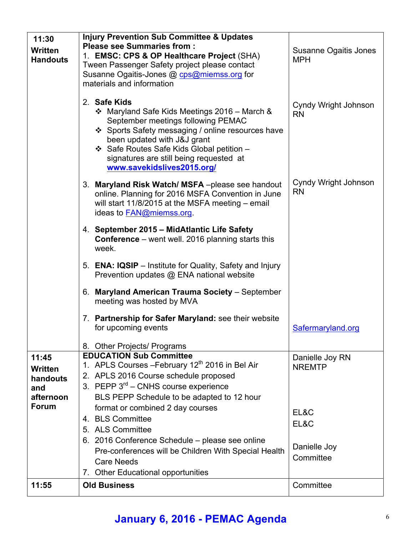| 11:30<br><b>Written</b><br><b>Handouts</b> | <b>Injury Prevention Sub Committee &amp; Updates</b><br><b>Please see Summaries from:</b><br>1. EMSC: CPS & OP Healthcare Project (SHA)<br>Tween Passenger Safety project please contact<br>Susanne Ogaitis-Jones @ cps@miemss.org for<br>materials and information                                          | Susanne Ogaitis Jones<br><b>MPH</b> |
|--------------------------------------------|--------------------------------------------------------------------------------------------------------------------------------------------------------------------------------------------------------------------------------------------------------------------------------------------------------------|-------------------------------------|
|                                            | 2. Safe Kids<br>❖ Maryland Safe Kids Meetings 2016 – March &<br>September meetings following PEMAC<br>❖ Sports Safety messaging / online resources have<br>been updated with J&J grant<br>❖ Safe Routes Safe Kids Global petition -<br>signatures are still being requested at<br>www.savekidslives2015.org/ | Cyndy Wright Johnson<br><b>RN</b>   |
|                                            | 3. Maryland Risk Watch/MSFA-please see handout<br>online. Planning for 2016 MSFA Convention in June<br>will start 11/8/2015 at the MSFA meeting - email<br>ideas to FAN@miemss.org.                                                                                                                          | Cyndy Wright Johnson<br><b>RN</b>   |
|                                            | 4. September 2015 - MidAtlantic Life Safety<br><b>Conference</b> – went well. 2016 planning starts this<br>week.                                                                                                                                                                                             |                                     |
|                                            | 5. ENA: IQSIP – Institute for Quality, Safety and Injury<br>Prevention updates @ ENA national website                                                                                                                                                                                                        |                                     |
|                                            | <b>Maryland American Trauma Society</b> - September<br>6.<br>meeting was hosted by MVA                                                                                                                                                                                                                       |                                     |
|                                            | 7. Partnership for Safer Maryland: see their website<br>for upcoming events                                                                                                                                                                                                                                  | Safermaryland.org                   |
|                                            | <b>Other Projects/ Programs</b><br>8.                                                                                                                                                                                                                                                                        |                                     |
| 11:45                                      | <b>EDUCATION Sub Committee</b>                                                                                                                                                                                                                                                                               | Danielle Joy RN                     |
| <b>Written</b>                             | 1. APLS Courses - February 12 <sup>th</sup> 2016 in Bel Air<br>2. APLS 2016 Course schedule proposed                                                                                                                                                                                                         | <b>NREMTP</b>                       |
| handouts<br>and                            | 3. PEPP $3^{rd}$ – CNHS course experience                                                                                                                                                                                                                                                                    |                                     |
| afternoon                                  | BLS PEPP Schedule to be adapted to 12 hour                                                                                                                                                                                                                                                                   |                                     |
| <b>Forum</b>                               | format or combined 2 day courses                                                                                                                                                                                                                                                                             |                                     |
|                                            | 4. BLS Committee                                                                                                                                                                                                                                                                                             | EL&C<br>EL&C                        |
|                                            | 5. ALS Committee                                                                                                                                                                                                                                                                                             |                                     |
|                                            | 6. 2016 Conference Schedule – please see online                                                                                                                                                                                                                                                              |                                     |
|                                            | Pre-conferences will be Children With Special Health                                                                                                                                                                                                                                                         | Danielle Joy<br>Committee           |
|                                            | <b>Care Needs</b>                                                                                                                                                                                                                                                                                            |                                     |
|                                            | 7. Other Educational opportunities                                                                                                                                                                                                                                                                           |                                     |
| 11:55                                      | <b>Old Business</b>                                                                                                                                                                                                                                                                                          | Committee                           |

## **January 6, 2016 - PEMAC Agenda** <sup>6</sup>